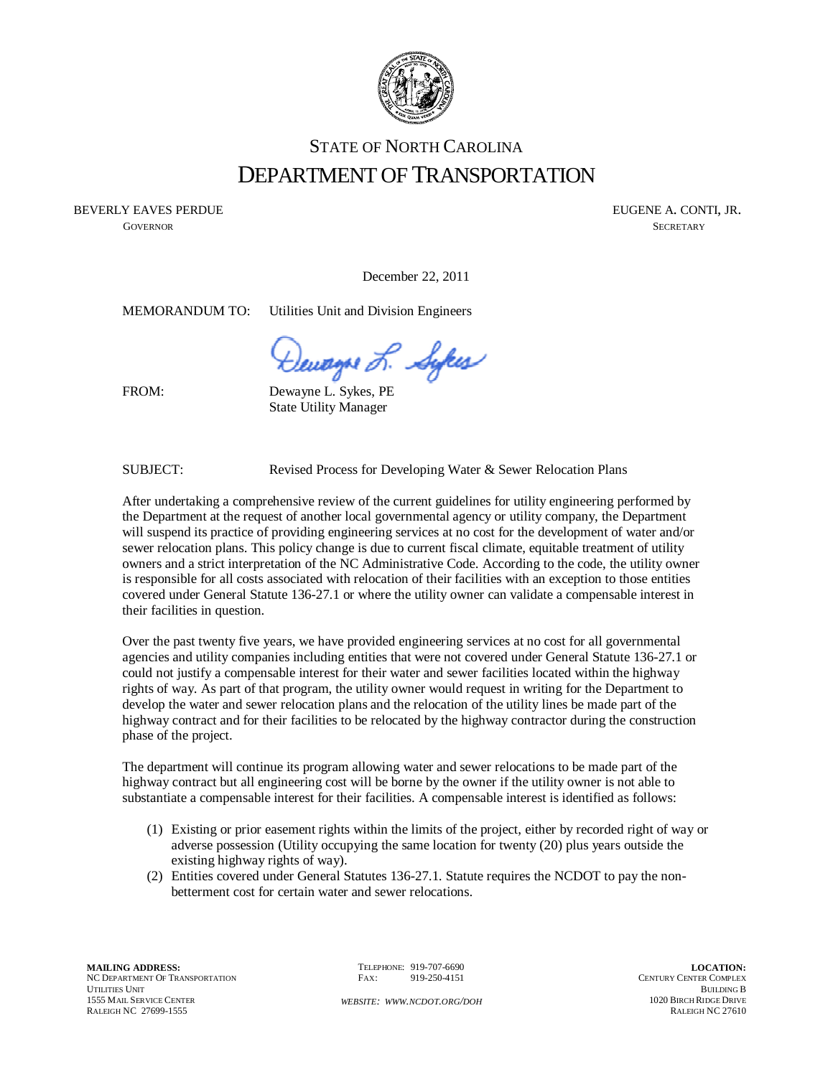

## STATE OF NORTH CAROLINA DEPARTMENT OF TRANSPORTATION

BEVERLY EAVES PERDUE THE SERVER OF THE SERVER OF THE SERVER OF THE SERVER OF THE SERVER OF THE SERVER OF THE SERVER OF THE SERVER OF THE SERVER OF THE SERVER OF THE SERVER OF THE SERVER OF THE SERVER OF THE SERVER OF THE S

**GOVERNOR** SECRETARY

December 22, 2011

MEMORANDUM TO: Utilities Unit and Division Engineers

Dewayse L. Sykes

FROM:

Dewayne L. Sykes, PE State Utility Manager

SUBJECT: Revised Process for Developing Water & Sewer Relocation Plans

After undertaking a comprehensive review of the current guidelines for utility engineering performed by the Department at the request of another local governmental agency or utility company, the Department will suspend its practice of providing engineering services at no cost for the development of water and/or sewer relocation plans. This policy change is due to current fiscal climate, equitable treatment of utility owners and a strict interpretation of the NC Administrative Code. According to the code, the utility owner is responsible for all costs associated with relocation of their facilities with an exception to those entities covered under General Statute 136-27.1 or where the utility owner can validate a compensable interest in their facilities in question.

Over the past twenty five years, we have provided engineering services at no cost for all governmental agencies and utility companies including entities that were not covered under General Statute 136-27.1 or could not justify a compensable interest for their water and sewer facilities located within the highway rights of way. As part of that program, the utility owner would request in writing for the Department to develop the water and sewer relocation plans and the relocation of the utility lines be made part of the highway contract and for their facilities to be relocated by the highway contractor during the construction phase of the project.

The department will continue its program allowing water and sewer relocations to be made part of the highway contract but all engineering cost will be borne by the owner if the utility owner is not able to substantiate a compensable interest for their facilities. A compensable interest is identified as follows:

- (1) Existing or prior easement rights within the limits of the project, either by recorded right of way or adverse possession (Utility occupying the same location for twenty (20) plus years outside the existing highway rights of way).
- (2) Entities covered under General Statutes 136-27.1. Statute requires the NCDOT to pay the nonbetterment cost for certain water and sewer relocations.

TELEPHONE: 919-707-6690 FAX: 919-250-4151

*WEBSITE: WWW.NCDOT.ORG/DOH*

**LOCATION:**  CENTURY CENTER COMPLEX BUILDING B 1020 BIRCH RIDGE DRIVE RALEIGH NC 27610